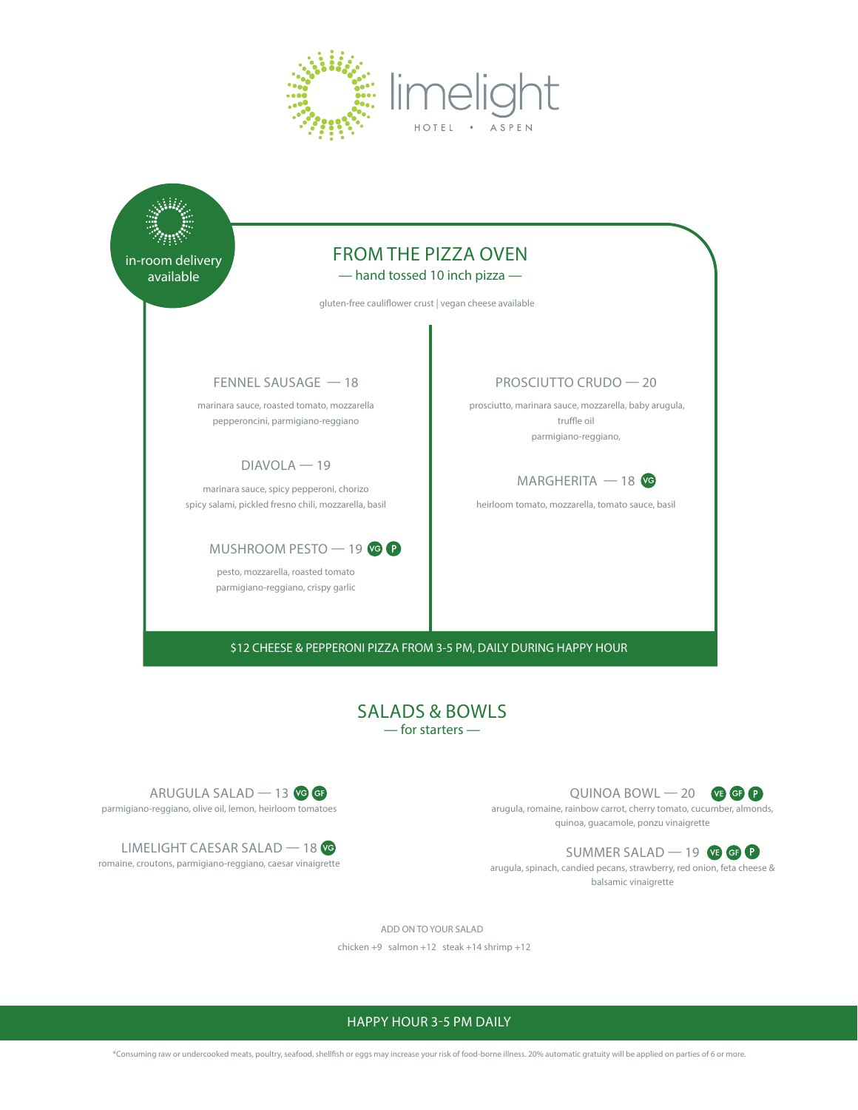



\$12 CHEESE & PEPPERONI PIZZA FROM 3-5 PM, DAILY DURING HAPPY HOUR

## SALADS & BOWLS — for starters —



arugula, romaine, rainbow carrot, cherry tomato, cucumber, almonds, quinoa, guacamole, ponzu vinaigrette

SUMMER SALAD  $-$  19  $\circledR$   $\circledR$ arugula, spinach, candied pecans, strawberry, red onion, feta cheese & balsamic vinaigrette



LIMELIGHT CAESAR SALAD - 18 romaine, croutons, parmigiano-reggiano, caesar vinaigrette

ADD ON TO YOUR SALAD

chicken +9 salmon +12 steak +14 shrimp +12

## HAPPY HOUR 3-5 PM DAILY

\*Consuming raw or undercooked meats, poultry, seafood, shellfish or eggs may increase your risk of food-borne illness. 20% automatic gratuity will be applied on parties of 6 or more.